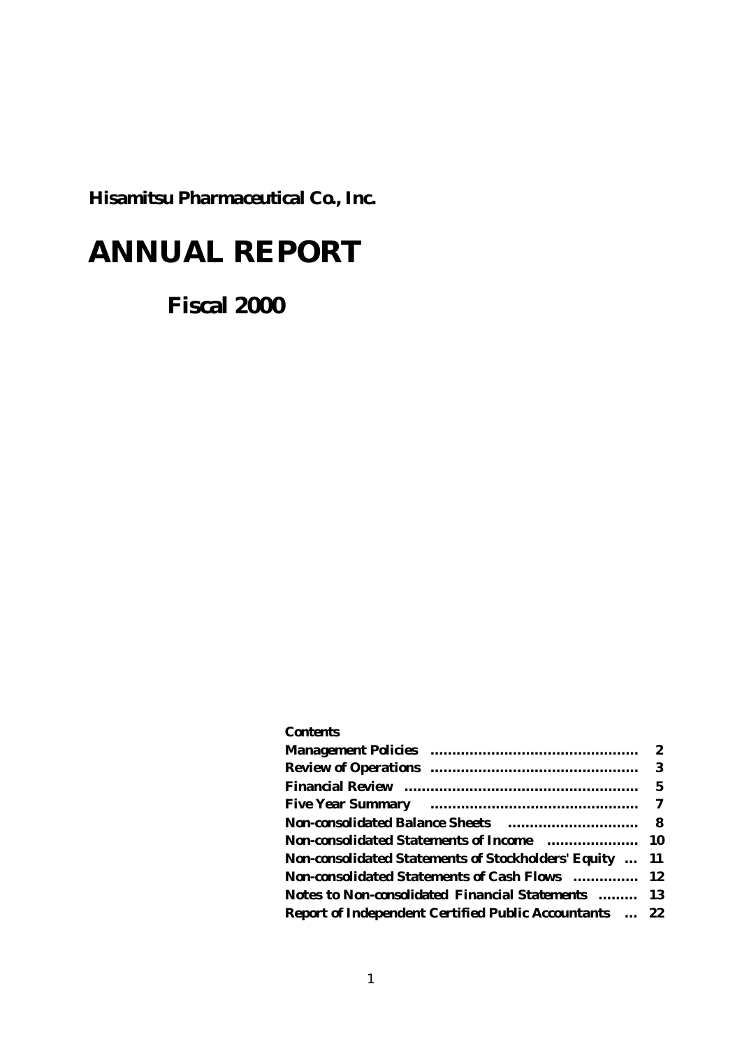**Hisamitsu Pharmaceutical Co., Inc.**

# **ANNUAL REPORT**

 **Fiscal 2000**

| Contents                                                                                                                         |   |
|----------------------------------------------------------------------------------------------------------------------------------|---|
| <b>Management Policies Communications Communications of the Management Policies Communications Communications Communications</b> |   |
|                                                                                                                                  |   |
|                                                                                                                                  | 5 |
|                                                                                                                                  |   |
|                                                                                                                                  |   |
| Non-consolidated Statements of Income  10                                                                                        |   |
| Non-consolidated Statements of Stockholders' Equity  11                                                                          |   |
| <b>Non-consolidated Statements of Cash Flows</b> 12                                                                              |   |
| Notes to Non-consolidated Financial Statements  13                                                                               |   |
| <b>Report of Independent Certified Public Accountants  22</b>                                                                    |   |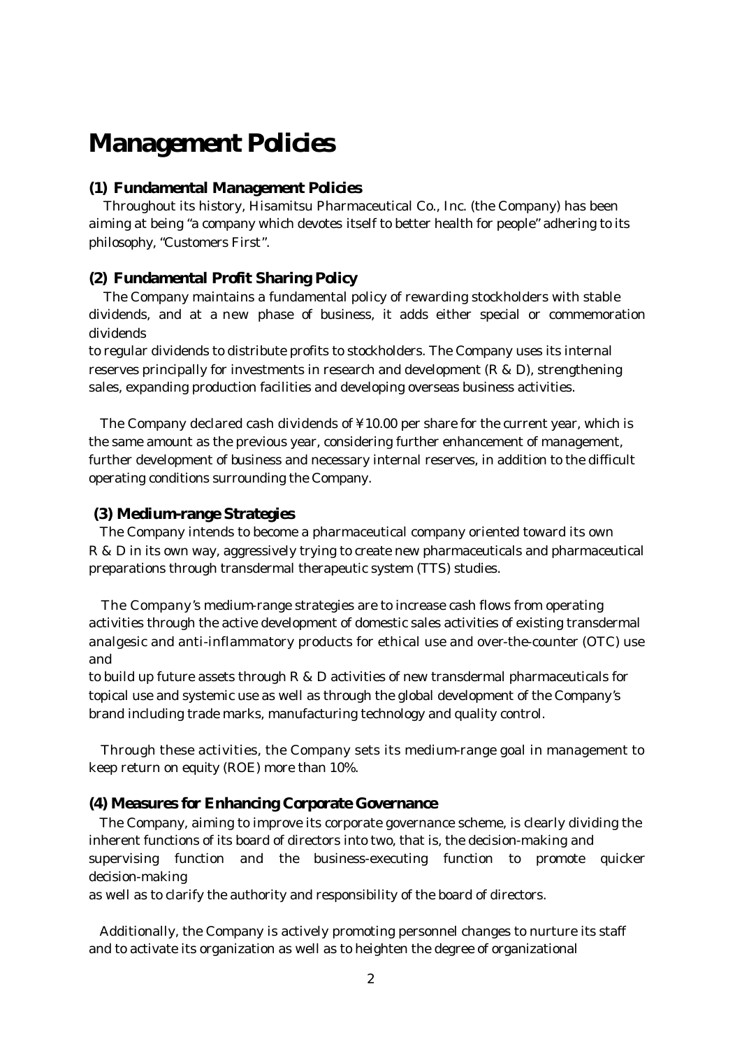# **Management Policies**

### **(1) Fundamental Management Policies**

 Throughout its history, Hisamitsu Pharmaceutical Co., Inc. (the Company) has been aiming at being "a company which devotes itself to better health for people" adhering to its philosophy, "Customers First".

## **(2) Fundamental Profit Sharing Policy**

 The Company maintains a fundamental policy of rewarding stockholders with stable dividends, and at a new phase of business, it adds either special or commemoration dividends

to regular dividends to distribute profits to stockholders. The Company uses its internal reserves principally for investments in research and development  $(R & D)$ , strengthening sales, expanding production facilities and developing overseas business activities.

 The Company declared cash dividends of ¥10.00 per share for the current year, which is the same amount as the previous year, considering further enhancement of management, further development of business and necessary internal reserves, in addition to the difficult operating conditions surrounding the Company.

### **(3) Medium-range Strategies**

 The Company intends to become a pharmaceutical company oriented toward its own R & D in its own way, aggressively trying to create new pharmaceuticals and pharmaceutical preparations through transdermal therapeutic system (TTS) studies.

 The Company's medium-range strategies are to increase cash flows from operating activities through the active development of domestic sales activities of existing transdermal analgesic and anti-inflammatory products for ethical use and over-the-counter (OTC) use and

to build up future assets through  $R \& D$  activities of new transdermal pharmaceuticals for topical use and systemic use as well as through the global development of the Company's brand including trade marks, manufacturing technology and quality control.

 Through these activities, the Company sets its medium-range goal in management to keep return on equity (ROE) more than 10%.

#### **(4) Measures for Enhancing Corporate Governance**

 The Company, aiming to improve its corporate governance scheme, is clearly dividing the inherent functions of its board of directors into two, that is, the decision-making and supervising function and the business-executing function to promote quicker decision-making

as well as to clarify the authority and responsibility of the board of directors.

 Additionally, the Company is actively promoting personnel changes to nurture its staff and to activate its organization as well as to heighten the degree of organizational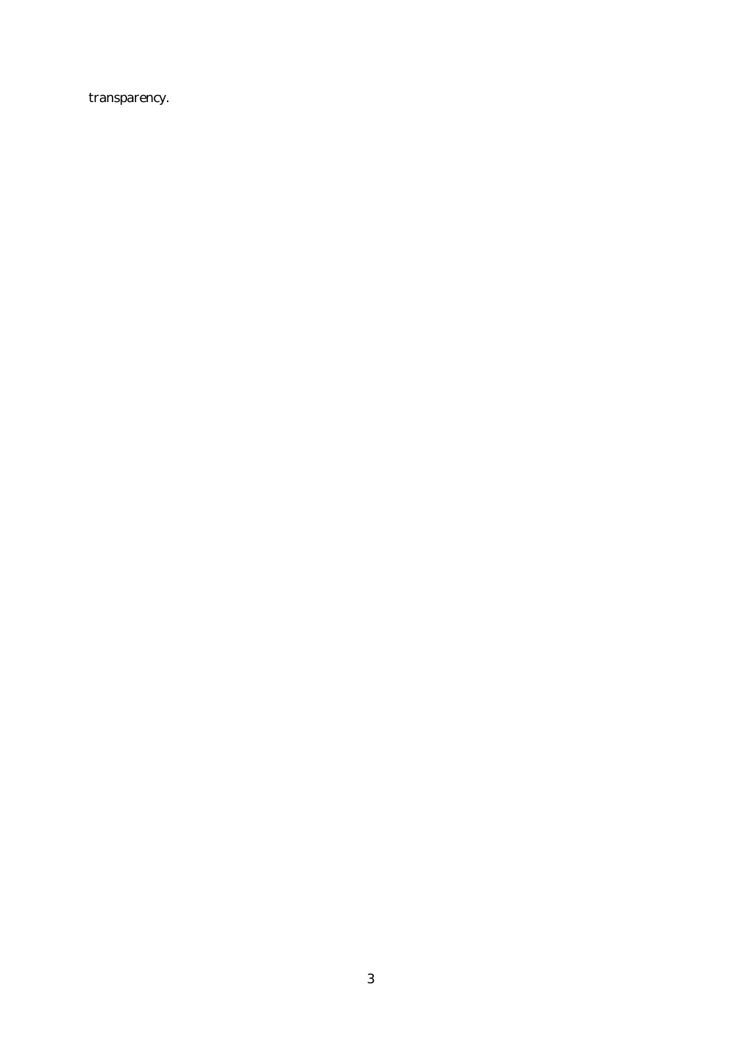transparency.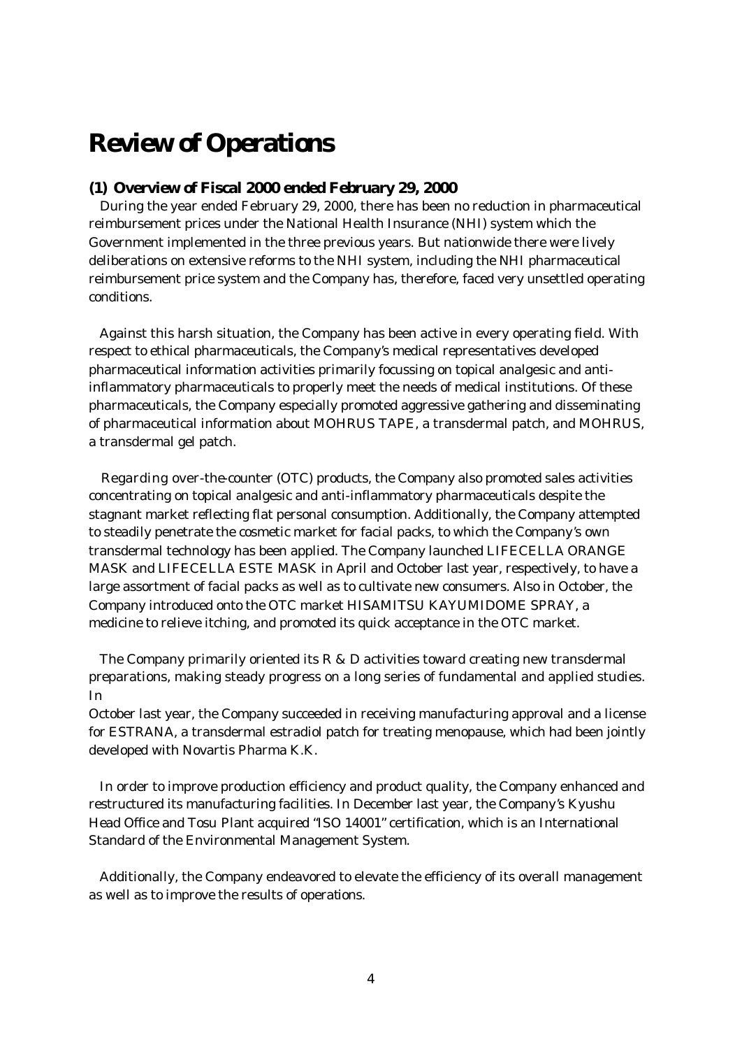# **Review of Operations**

## **(1) Overview of Fiscal 2000 ended February 29, 2000**

 During the year ended February 29, 2000, there has been no reduction in pharmaceutical reimbursement prices under the National Health Insurance (NHI) system which the Government implemented in the three previous years. But nationwide there were lively deliberations on extensive reforms to the NHI system, including the NHI pharmaceutical reimbursement price system and the Company has, therefore, faced very unsettled operating conditions.

 Against this harsh situation, the Company has been active in every operating field. With respect to ethical pharmaceuticals, the Company's medical representatives developed pharmaceutical information activities primarily focussing on topical analgesic and antiinflammatory pharmaceuticals to properly meet the needs of medical institutions. Of these pharmaceuticals, the Company especially promoted aggressive gathering and disseminating of pharmaceutical information about MOHRUS TAPE, a transdermal patch, and MOHRUS, a transdermal gel patch.

 Regarding over-the-counter (OTC) products, the Company also promoted sales activities concentrating on topical analgesic and anti-inflammatory pharmaceuticals despite the stagnant market reflecting flat personal consumption. Additionally, the Company attempted to steadily penetrate the cosmetic market for facial packs, to which the Company's own transdermal technology has been applied. The Company launched LIFECELLA ORANGE MASK and LIFECELLA ESTE MASK in April and October last year, respectively, to have a large assortment of facial packs as well as to cultivate new consumers. Also in October, the Company introduced onto the OTC market HISAMITSU KAYUMIDOME SPRAY, a medicine to relieve itching, and promoted its quick acceptance in the OTC market.

 The Company primarily oriented its R & D activities toward creating new transdermal preparations, making steady progress on a long series of fundamental and applied studies. In

October last year, the Company succeeded in receiving manufacturing approval and a license for ESTRANA, a transdermal estradiol patch for treating menopause, which had been jointly developed with Novartis Pharma K.K.

 In order to improve production efficiency and product quality, the Company enhanced and restructured its manufacturing facilities. In December last year, the Company's Kyushu Head Office and Tosu Plant acquired "ISO 14001" certification, which is an International Standard of the Environmental Management System.

 Additionally, the Company endeavored to elevate the efficiency of its overall management as well as to improve the results of operations.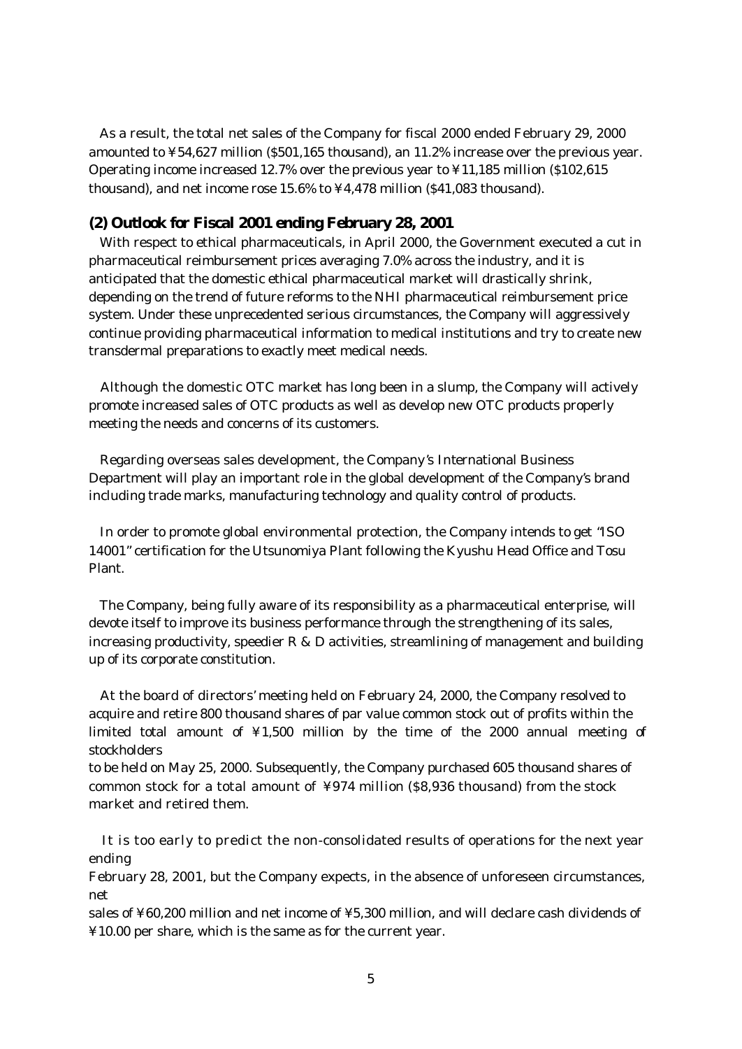As a result, the total net sales of the Company for fiscal 2000 ended February 29, 2000 amounted to ¥54,627 million (\$501,165 thousand), an 11.2% increase over the previous year. Operating income increased 12.7% over the previous year to ¥11,185 million (\$102,615 thousand), and net income rose 15.6% to ¥4,478 million (\$41,083 thousand).

## **(2) Outlook for Fiscal 2001 ending February 28, 2001**

 With respect to ethical pharmaceuticals, in April 2000, the Government executed a cut in pharmaceutical reimbursement prices averaging 7.0% across the industry, and it is anticipated that the domestic ethical pharmaceutical market will drastically shrink, depending on the trend of future reforms to the NHI pharmaceutical reimbursement price system. Under these unprecedented serious circumstances, the Company will aggressively continue providing pharmaceutical information to medical institutions and try to create new transdermal preparations to exactly meet medical needs.

 Although the domestic OTC market has long been in a slump, the Company will actively promote increased sales of OTC products as well as develop new OTC products properly meeting the needs and concerns of its customers.

 Regarding overseas sales development, the Company's International Business Department will play an important role in the global development of the Company's brand including trade marks, manufacturing technology and quality control of products.

 In order to promote global environmental protection, the Company intends to get "ISO 14001" certification for the Utsunomiya Plant following the Kyushu Head Office and Tosu Plant.

 The Company, being fully aware of its responsibility as a pharmaceutical enterprise, will devote itself to improve its business performance through the strengthening of its sales, increasing productivity, speedier  $R & D$  activities, streamlining of management and building up of its corporate constitution.

 At the board of directors' meeting held on February 24, 2000, the Company resolved to acquire and retire 800 thousand shares of par value common stock out of profits within the limited total amount of ¥1,500 million by the time of the 2000 annual meeting of stockholders

to be held on May 25, 2000. Subsequently, the Company purchased 605 thousand shares of common stock for a total amount of ¥974 million (\$8,936 thousand) from the stock market and retired them.

 It is too early to predict the non-consolidated results of operations for the next year ending

February 28, 2001, but the Company expects, in the absence of unforeseen circumstances, net

sales of ¥60,200 million and net income of ¥5,300 million, and will declare cash dividends of ¥10.00 per share, which is the same as for the current year.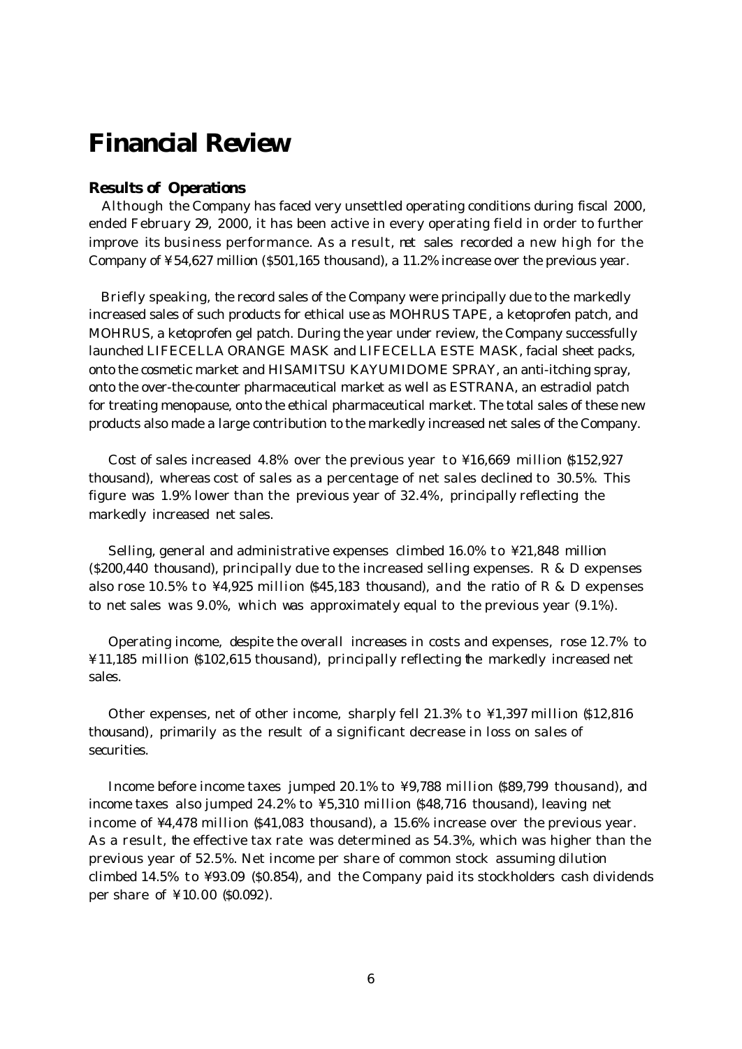# **Financial Review**

## **Results of Operations**

 Although the Company has faced very unsettled operating conditions during fiscal 2000, ended February 29, 2000, it has been active in every operating field in order to further improve its business performance. As a result, net sales recorded a new high for the Company of ¥54,627 million (\$501,165 thousand), a 11.2% increase over the previous year.

 Briefly speaking, the record sales of the Company were principally due to the markedly increased sales of such products for ethical use as MOHRUS TAPE, a ketoprofen patch, and MOHRUS, a ketoprofen gel patch. During the year under review, the Company successfully launched LIFECELLA ORANGE MASK and LIFECELLA ESTE MASK, facial sheet packs, onto the cosmetic market and HISAMITSU KAYUMIDOME SPRAY, an anti-itching spray, onto the over-the-counter pharmaceutical market as well as ESTRANA, an estradiol patch for treating menopause, onto the ethical pharmaceutical market. The total sales of these new products also made a large contribution to the markedly increased net sales of the Company.

Cost of sales increased  $4.8\%$  over the previous year to  $\frac{1}{2}16,669$  million \$152,927 thousand), whereas cost of sales as a percentage of net sales declined to 30.5%. This figure was 1.9% lower than the previous year of 32.4%, principally reflecting the markedly increased net sales.

 Selling, general and administrative expenses climbed 16.0% to ¥21,848 million  $(8200, 440$  thousand), principally due to the increased selling expenses. R & D expenses also rose 10.5% to  $\frac{1}{4}$ ,925 million (\$45,183 thousand), and the ratio of R & D expenses to net sales was 9.0%, which was approximately equal to the previous year (9.1%).

 Operating income, despite the overall increases in costs and expenses, rose 12.7% to ¥11,185 million (\$102,615 thousand), principally reflecting the markedly increased net sales.

 Other expenses, net of other income, sharply fell 21.3% to ¥1,397 million (\$12,816 thousand), primarily as the result of a significant decrease in loss on sales of securities.

 Income before income taxes jumped 20.1% to ¥9,788 million (\$89,799 thousand), and income taxes also jumped 24.2% to ¥5,310 million (\$48,716 thousand), leaving net income of ¥4,478 million (\$41,083 thousand), a 15.6% increase over the previous year. As a result, the effective tax rate was determined as 54.3%, which was higher than the previous year of 52.5%. Net income per share of common stock assuming dilution climbed 14.5% to ¥93.09 (\$0.854), and the Company paid its stockholders cash dividends per share of ¥10.00 (\$0.092).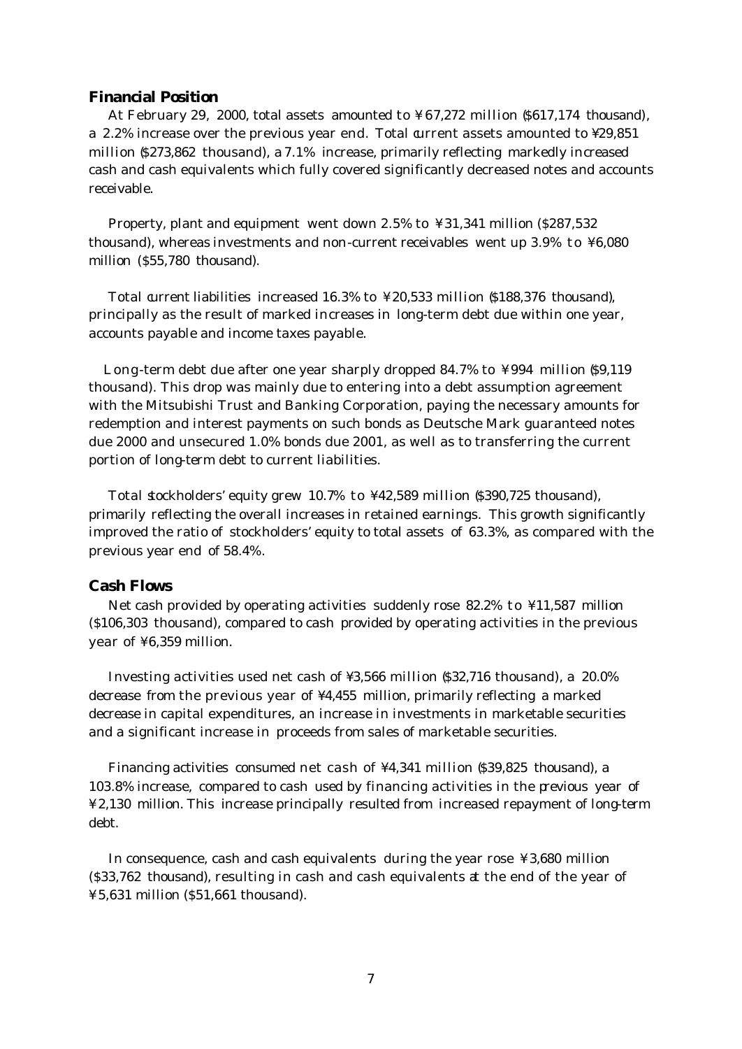### **Financial Position**

 At February 29, 2000, total assets amounted to ¥67,272 million (\$617,174 thousand), a 2.2% increase over the previous year end. Total current assets amounted to  $\text{\textsterling}29,851$ million (\$273,862 thousand), a 7.1% increase, primarily reflecting markedly increased cash and cash equivalents which fully covered significantly decreased notes and accounts receivable.

 Property, plant and equipment went down 2.5% to ¥31,341 million (\$287,532 thousand), whereas investments and non-current receivables went up 3.9% to ¥6,080 million (\$55,780 thousand).

 Total current liabilities increased 16.3% to ¥20,533 million (\$188,376 thousand), principally as the result of marked increases in long-term debt due within one year, accounts payable and income taxes payable.

Long-term debt due after one year sharply dropped 84.7% to ¥994 million \$9.119 thousand). This drop was mainly due to entering into a debt assumption agreement with the Mitsubishi Trust and Banking Corporation, paying the necessary amounts for redemption and interest payments on such bonds as Deutsche Mark guaranteed notes due 2000 and unsecured 1.0% bonds due 2001, as well as to transferring the current portion of long-term debt to current liabilities.

 Total stockholders' equity grew 10.7% to ¥42,589 million (\$390,725 thousand), primarily reflecting the overall increases in retained earnings. This growth significantly improved the ratio of stockholders' equity to total assets of 63.3%, as compared with the previous year end of 58.4%.

#### **Cash Flows**

 Net cash provided by operating activities suddenly rose 82.2% to ¥11,587 million (\$106,303 thousand), compared to cash provided by operating activities in the previous year of ¥6,359 million.

 Investing activities used net cash of ¥3,566 million (\$32,716 thousand), a 20.0% decrease from the previous year of ¥4,455 million, primarily reflecting a marked decrease in capital expenditures, an increase in investments in marketable securities and a significant increase in proceeds from sales of marketable securities.

Financing activities consumed net cash of ¥4,341 million (\$39,825 thousand), a 103.8% increase, compared to cash used by financing activities in the previous year of ¥2,130 million. This increase principally resulted from increased repayment of long-term debt.

 In consequence, cash and cash equivalents during the year rose ¥3,680 million (\$33,762 thousand), resulting in cash and cash equivalents at the end of the year of ¥5,631 million (\$51,661 thousand).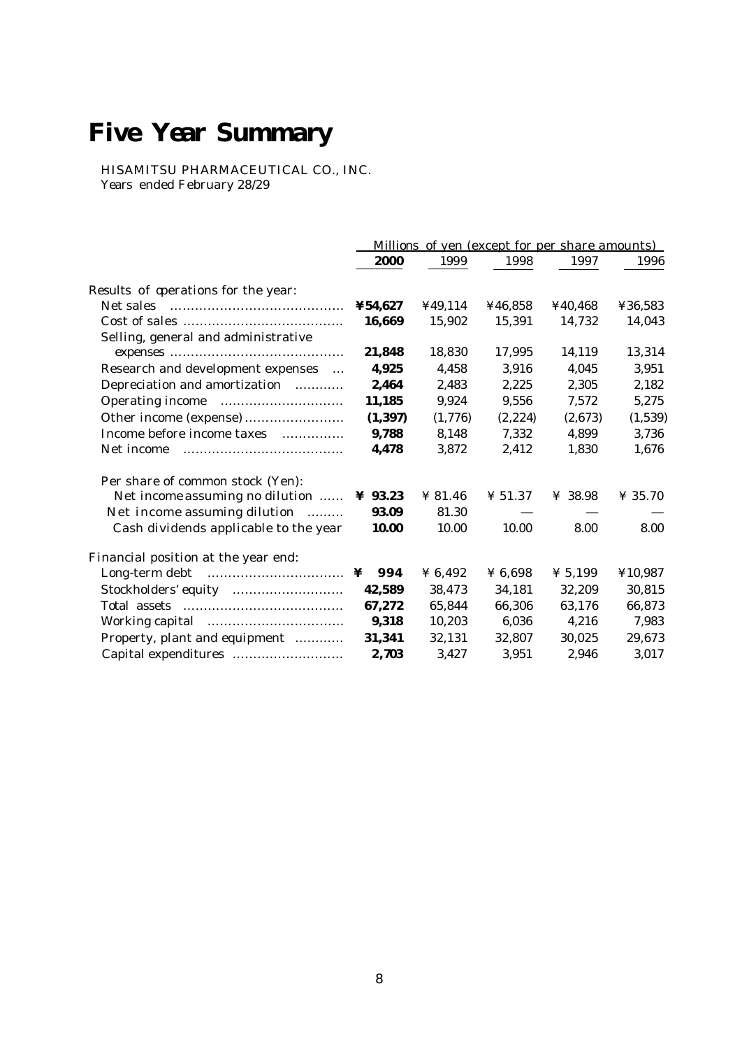# **Five Year Summary**

HISAMITSU PHARMACEUTICAL CO., INC. Years ended February 28/29

|                                       | Millions of yen (except for per share amounts) |         |                |                     |                     |  |
|---------------------------------------|------------------------------------------------|---------|----------------|---------------------|---------------------|--|
|                                       | 2000                                           | 1999    | 1998           | 1997                | 1996                |  |
| Results of operations for the year:   |                                                |         |                |                     |                     |  |
| Net sales                             | ¥54,627                                        | ¥49,114 | ¥46,858        | ¥40,468             | 436,583             |  |
|                                       | 16,669                                         | 15,902  | 15,391         | 14,732              | 14,043              |  |
| Selling, general and administrative   |                                                |         |                |                     |                     |  |
|                                       | 21,848                                         | 18,830  | 17,995         | 14,119              | 13,314              |  |
| Research and development expenses     | 4,925                                          | 4,458   | 3,916          | 4,045               | 3,951               |  |
| Depreciation and amortization         | 2,464                                          | 2,483   | 2,225          | 2,305               | 2,182               |  |
|                                       | 11,185                                         | 9,924   | 9,556          | 7,572               | 5,275               |  |
| Other income (expense)                | (1, 397)                                       | (1,776) | (2,224)        | (2,673)             | (1,539)             |  |
| Income before income taxes            | 9,788                                          | 8,148   | 7,332          | 4.899               | 3,736               |  |
| Net income                            | 4,478                                          | 3,872   | 2,412          | 1,830               | 1,676               |  |
| Per share of common stock (Yen):      |                                                |         |                |                     |                     |  |
| Net income assuming no dilution       | $\angle 93.23$                                 | ¥ 81.46 | $\angle 51.37$ | ¥ 38.98             | $\frac{1}{2}$ 35.70 |  |
| Net income assuming dilution          | 93.09                                          | 81.30   |                |                     |                     |  |
| Cash dividends applicable to the year | <b>10.00</b>                                   | 10.00   | 10.00          | 8.00                | 8.00                |  |
| Financial position at the year end:   |                                                |         |                |                     |                     |  |
|                                       | 994<br>¥                                       | ¥ 6,492 | ¥ 6,698        | $\frac{1}{2}$ 5,199 | ¥10,987             |  |
|                                       | 42,589                                         | 38,473  | 34,181         | 32,209              | 30,815              |  |
|                                       | 67,272                                         | 65,844  | 66,306         | 63,176              | 66,873              |  |
|                                       | 9,318                                          | 10,203  | 6,036          | 4,216               | 7,983               |  |
| Property, plant and equipment         | 31,341                                         | 32,131  | 32,807         | 30.025              | 29.673              |  |
| Capital expenditures                  | 2,703                                          | 3,427   | 3,951          | 2.946               | 3,017               |  |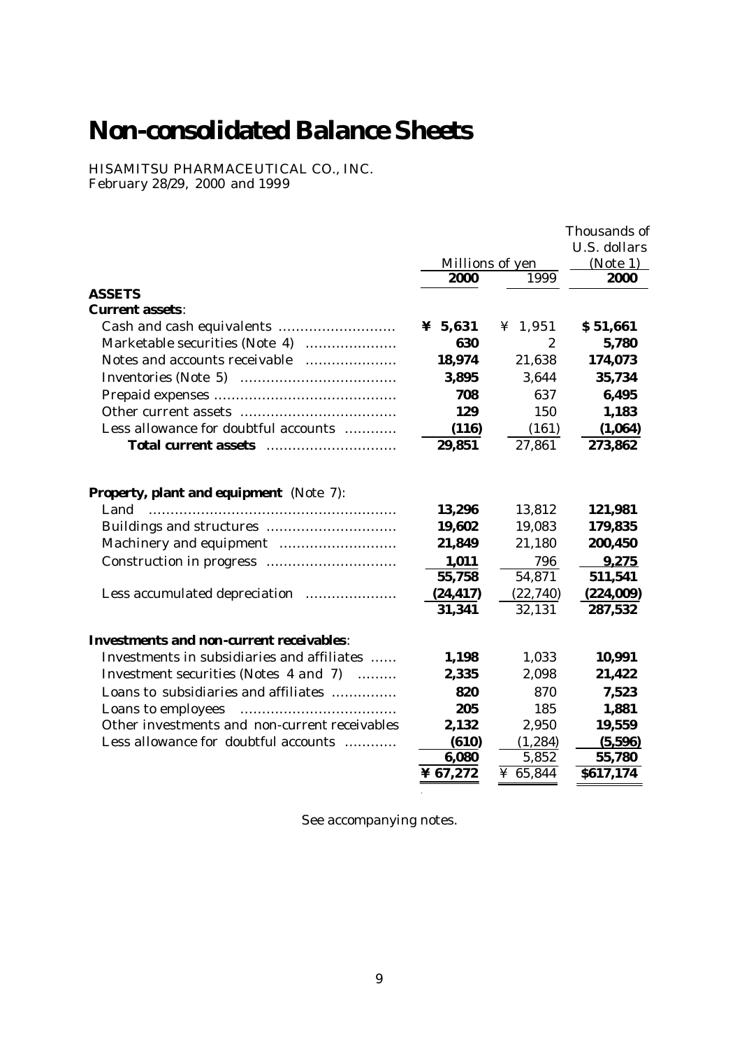# **Non-consolidated Balance Sheets**

HISAMITSU PHARMACEUTICAL CO., INC. February 28/29, 2000 and 1999

|                                                                   |                 |              | Thousands of<br>U.S. dollars |
|-------------------------------------------------------------------|-----------------|--------------|------------------------------|
|                                                                   | Millions of yen | (Note 1)     |                              |
|                                                                   | 2000            | 1999         | 2000                         |
| <b>ASSETS</b>                                                     |                 |              |                              |
| <b>Current assets:</b>                                            |                 |              |                              |
|                                                                   | ¥ $5,631$       | ¥ 1,951      | \$51,661                     |
| Marketable securities (Note 4)                                    | 630             | $\mathbf{2}$ | 5,780                        |
| Notes and accounts receivable                                     | 18,974          | 21,638       | 174,073                      |
|                                                                   | 3,895           | 3,644        | 35,734                       |
|                                                                   | 708             | 637          | 6,495                        |
|                                                                   | 129             | 150          | 1,183                        |
| Less allowance for doubtful accounts                              | (116)           | (161)        | (1,064)                      |
| Total current assets                                              | 29,851          | 27,861       | 273,862                      |
| <b>Property, plant and equipment</b> (Note 7):                    |                 |              |                              |
| Land                                                              | 13,296          | 13,812       | 121,981                      |
|                                                                   | 19,602          | 19,083       | 179,835                      |
|                                                                   | 21,849          | 21,180       | 200,450                      |
|                                                                   | 1,011           | 796          | 9,275                        |
|                                                                   | 55,758          | 54,871       | 511,541                      |
| Less accumulated depreciation                                     | (24, 417)       | (22, 740)    | (224,009)                    |
|                                                                   | 31,341          | 32,131       | 287,532                      |
| <b>Investments and non-current receivables:</b>                   |                 |              |                              |
| Investments in subsidiaries and affiliates                        | 1,198           | 1,033        | 10,991                       |
| Investment securities (Notes 4 and 7)<br>$\overline{\phantom{a}}$ | 2,335           | 2,098        | 21,422                       |
| Loans to subsidiaries and affiliates                              | 820             | 870          | 7,523                        |
| Loans to employees                                                | 205             | 185          | 1,881                        |
| Other investments and non-current receivables                     | 2,132           | 2,950        | 19,559                       |
| Less allowance for doubtful accounts                              | (610)           | (1, 284)     | (5,596)                      |
|                                                                   | 6,080           | 5,852        | 55,780                       |
|                                                                   | ¥ 67,272        | ¥ 65,844     | \$617,174                    |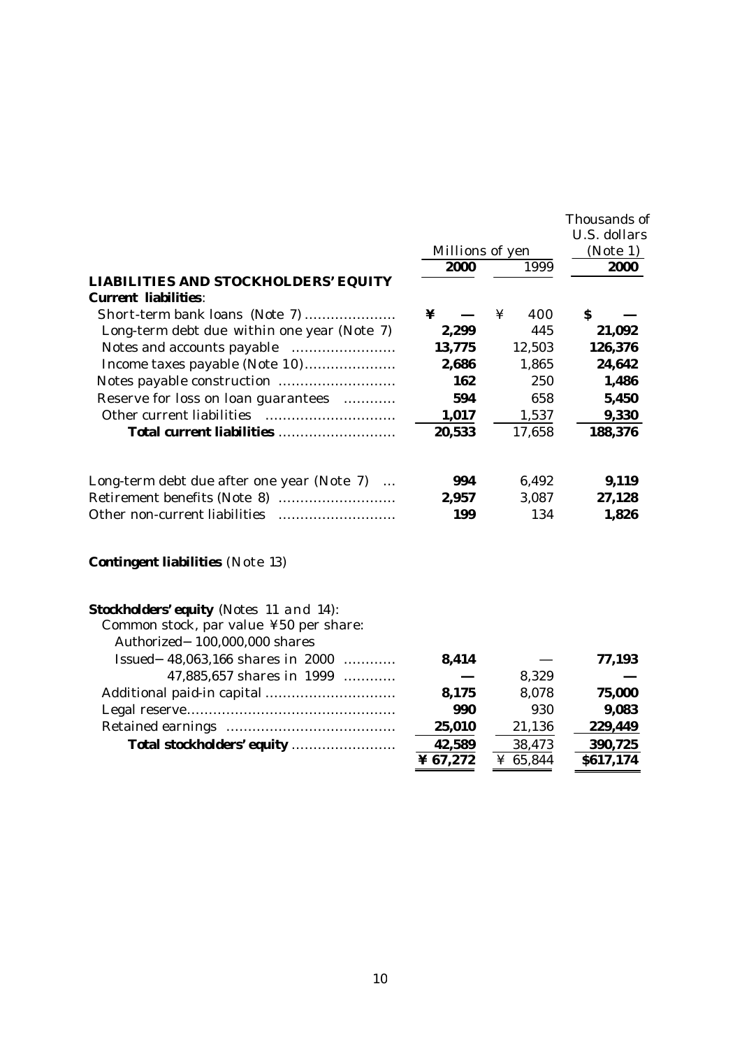|                                                                            |                 |          | Thousands of<br>U.S. dollars |
|----------------------------------------------------------------------------|-----------------|----------|------------------------------|
|                                                                            | Millions of yen |          | (Note 1)                     |
|                                                                            | 2000            | 1999     | 2000                         |
| <b>LIABILITIES AND STOCKHOLDERS' EQUITY</b><br><b>Current liabilities:</b> |                 |          |                              |
| Short-term bank loans (Note 7)                                             | ¥               | ¥<br>400 | S                            |
| Long-term debt due within one year (Note 7)                                | 2,299           | 445      | 21,092                       |
|                                                                            | 13,775          | 12,503   | 126,376                      |
|                                                                            | 2,686           | 1,865    | 24,642                       |
|                                                                            | 162             | 250      | 1,486                        |
| Reserve for loss on loan guarantees                                        | 594             | 658      | 5,450                        |
|                                                                            | 1,017           | 1,537    | 9,330                        |
| Total current liabilities                                                  | 20,533          | 17,658   | 188,376                      |
| Long-term debt due after one year (Note 7)                                 | 994             | 6,492    | 9,119                        |
|                                                                            | 2,957           | 3,087    | 27,128                       |
|                                                                            | 199             | 134      | 1,826                        |

# **Contingent liabilities** (Note 13)

| <b>Stockholders' equity</b> (Notes 11 and 14):<br>Common stock, par value ¥50 per share:<br>Authorized 100,000,000 shares |          |          |           |
|---------------------------------------------------------------------------------------------------------------------------|----------|----------|-----------|
| Issued 48,063,166 shares in 2000                                                                                          | 8,414    |          | 77,193    |
| 47,885,657 shares in 1999                                                                                                 |          | 8,329    |           |
|                                                                                                                           | 8.175    | 8,078    | 75,000    |
|                                                                                                                           | 990      | 930      | 9,083     |
|                                                                                                                           | 25,010   | 21,136   | 229,449   |
| Total stockholders' equity                                                                                                | 42,589   | 38,473   | 390,725   |
|                                                                                                                           | ¥ 67,272 | ¥ 65,844 | \$617,174 |
|                                                                                                                           |          |          |           |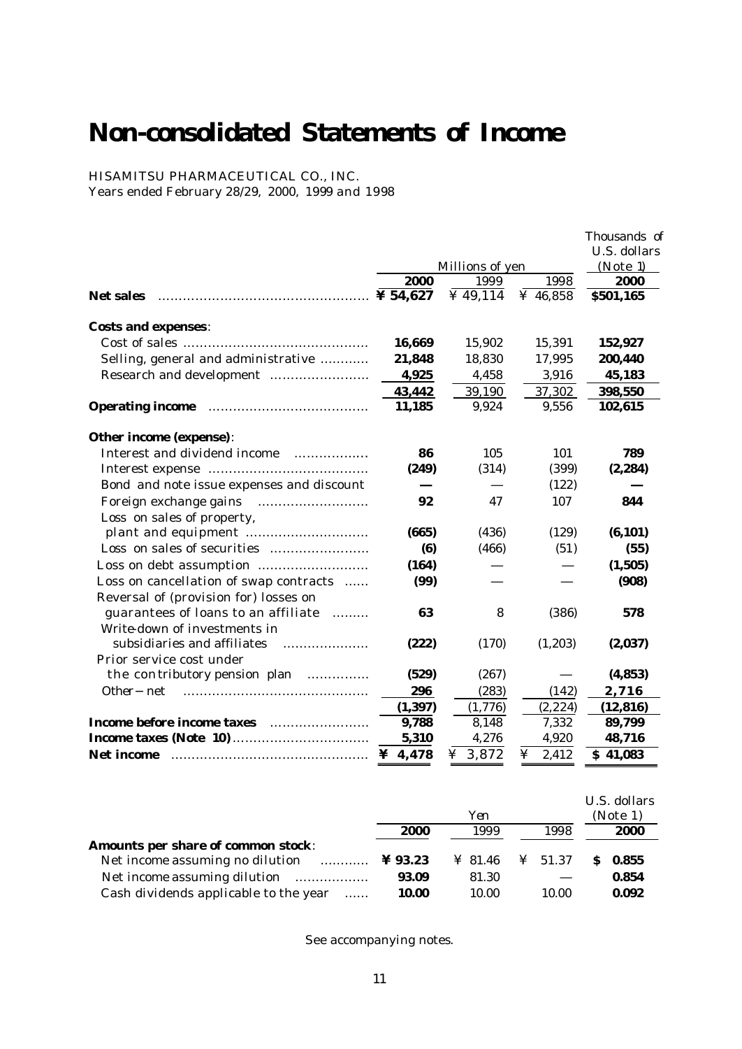# **Non-consolidated Statements of Income**

HISAMITSU PHARMACEUTICAL CO., INC. Years ended February 28/29, 2000, 1999 and 1998

|                                           |          |                         |            | Thousands of     |
|-------------------------------------------|----------|-------------------------|------------|------------------|
|                                           |          |                         |            | U.S. dollars     |
|                                           | 2000     | Millions of yen<br>1999 | 1998       | (Note 1)<br>2000 |
| <b>Net sales</b>                          |          | ¥ $49,114$              | ¥ 46,858   | \$501,165        |
| <b>Costs and expenses:</b>                |          |                         |            |                  |
|                                           | 16,669   | 15,902                  | 15,391     | 152,927          |
| Selling, general and administrative       | 21,848   | 18,830                  | 17,995     | 200,440          |
|                                           | 4,925    | 4,458                   | 3,916      | 45,183           |
|                                           | 43,442   | 39,190                  | 37,302     | 398,550          |
|                                           | 11,185   | 9,924                   | 9,556      | 102,615          |
| Other income (expense):                   |          |                         |            |                  |
| Interest and dividend income              | 86       | 105                     | 101        | 789              |
|                                           | (249)    | (314)                   | (399)      | (2, 284)         |
| Bond and note issue expenses and discount |          |                         | (122)      |                  |
|                                           | 92       | 47                      | 107        | 844              |
| Loss on sales of property,                |          |                         |            |                  |
|                                           | (665)    | (436)                   | (129)      | (6, 101)         |
|                                           | (6)      | (466)                   | (51)       | (55)             |
|                                           | (164)    |                         |            | (1,505)          |
| Loss on cancellation of swap contracts    | (99)     |                         |            | (908)            |
| Reversal of (provision for) losses on     |          |                         |            |                  |
| guarantees of loans to an affiliate       | 63       | 8                       | (386)      | 578              |
| Write-down of investments in              |          |                         |            |                  |
| subsidiaries and affiliates               | (222)    | (170)                   | (1,203)    | (2,037)          |
| Prior service cost under                  |          |                         |            |                  |
| the contributory pension plan<br>.        | (529)    | (267)                   |            | (4, 853)         |
| Other net                                 | 296      | (283)                   | (142)      | 2,716            |
|                                           | (1, 397) | (1,776)                 | (2, 224)   | (12, 816)        |
| Income before income taxes                | 9,788    | 8,148                   | 7,332      | 89,799           |
| <b>Income taxes (Note 10) </b>            | 5,310    | 4,276                   | 4,920      | 48,716           |
| <b>Net income</b>                         | ¥ 4,478  | ¥ 3,872                 | 2,412<br>¥ | \$41,083         |

|                                                                       | Yen   |                               |  |       | U.S. dollars<br>(Note 1) |       |
|-----------------------------------------------------------------------|-------|-------------------------------|--|-------|--------------------------|-------|
|                                                                       | 2000  | 1999                          |  | 1998  |                          | 2000  |
| Amounts per share of common stock:                                    |       |                               |  |       |                          |       |
| Net income assuming no dilution<br>$\ldots$ $\ldots$ $\ddagger$ 93.23 |       | $\angle$ 81.46 $\angle$ 51.37 |  |       | S                        | 0.855 |
| Net income assuming dilution                                          | 93.09 | 81.30                         |  |       |                          | 0.854 |
| Cash dividends applicable to the year                                 | 10.00 | 10.00                         |  | 10.00 |                          | 0.092 |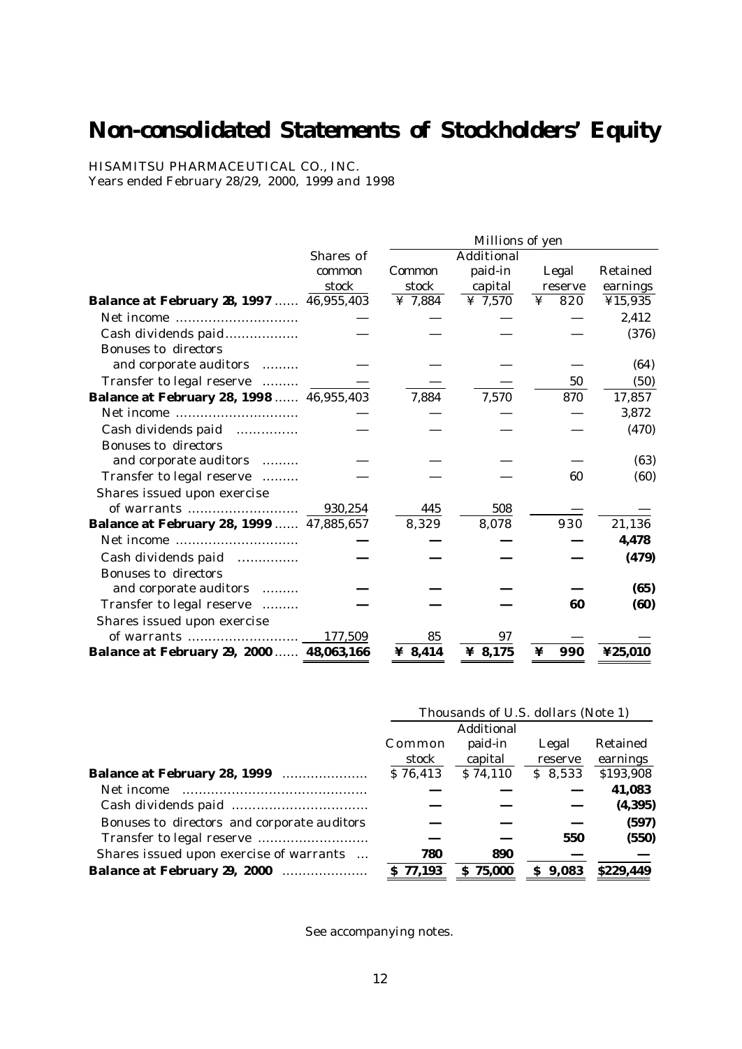# **Non-consolidated Statements of Stockholders' Equity**

HISAMITSU PHARMACEUTICAL CO., INC. Years ended February 28/29, 2000, 1999 and 1998

|                                                 |           | Millions of yen |            |          |          |  |
|-------------------------------------------------|-----------|-----------------|------------|----------|----------|--|
|                                                 | Shares of |                 | Additional |          |          |  |
|                                                 | common    | Common          | paid-in    | Legal    | Retained |  |
|                                                 | stock     | stock           | capital    | reserve  | earnings |  |
| <b>Balance at February 28, 1997</b> 46,955,403  |           | ¥ 7,884         | ¥ $7,570$  | ¥<br>820 | ¥15,935  |  |
|                                                 |           |                 |            |          | 2,412    |  |
| Cash dividends paid                             |           |                 |            |          | (376)    |  |
| Bonuses to directors<br>and corporate auditors  |           |                 |            |          | (64)     |  |
| Transfer to legal reserve                       |           |                 |            | 50       | (50)     |  |
| <b>Balance at February 28, 1998 </b> 46,955,403 |           | 7,884           | 7,570      | 870      | 17,857   |  |
|                                                 |           |                 |            |          | 3,872    |  |
| Cash dividends paid                             |           |                 |            |          | (470)    |  |
| Bonuses to directors                            |           |                 |            |          |          |  |
| and corporate auditors                          |           |                 |            |          | (63)     |  |
| Transfer to legal reserve                       |           |                 |            | 60       | (60)     |  |
| Shares issued upon exercise                     |           |                 |            |          |          |  |
| of warrants                                     | 930,254   | 445             | 508        |          |          |  |
| Balance at February 28, 1999  47,885,657        |           | 8,329           | 8,078      | 930      | 21,136   |  |
|                                                 |           |                 |            |          | 4,478    |  |
| Cash dividends paid<br>.                        |           |                 |            |          | (479)    |  |
| Bonuses to directors                            |           |                 |            |          |          |  |
| and corporate auditors                          |           |                 |            |          | (65)     |  |
| Transfer to legal reserve                       |           |                 |            | 60       | (60)     |  |
| Shares issued upon exercise                     |           |                 |            |          |          |  |
|                                                 | 177,509   | 85              | 97         |          |          |  |
| Balance at February 29, 2000  48,063,166        |           | ¥ 8,414         | ¥ 8,175    | 990<br>¥ | ¥25,010  |  |

|                                             |                 | Thousands of U.S. dollars (Note 1) |                  |                      |
|---------------------------------------------|-----------------|------------------------------------|------------------|----------------------|
|                                             |                 | Additional                         |                  |                      |
|                                             | Common<br>stock | paid-in<br>capital                 | Legal<br>reserve | Retained<br>earnings |
| <b>Balance at February 28, 1999</b>         | \$76,413        | \$74,110                           | \$8,533          | \$193,908            |
| Net income                                  |                 |                                    |                  | 41,083               |
|                                             |                 |                                    |                  | (4, 395)             |
| Bonuses to directors and corporate auditors |                 |                                    |                  | (597)                |
|                                             |                 |                                    | 550              | (550)                |
| Shares issued upon exercise of warrants     | 780             | 890                                |                  |                      |
| <b>Balance at February 29, 2000</b>         | \$77.193        | 75.000<br>s                        | 9,083<br>S.      | \$229.449            |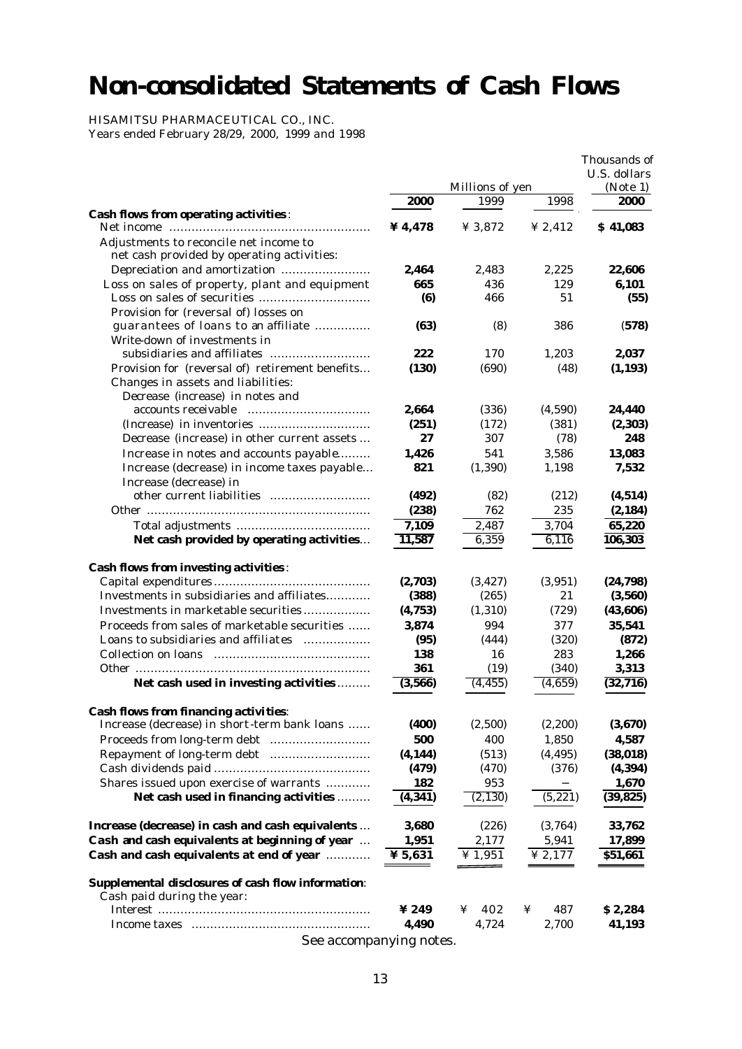# **Non-consolidated Statements of Cash Flows**

HISAMITSU PHARMACEUTICAL CO., INC.

Years ended February 28/29, 2000, 1999 and 1998

|                                                    |                         |                 |           | Thousands of<br>U.S. dollars |
|----------------------------------------------------|-------------------------|-----------------|-----------|------------------------------|
|                                                    |                         | Millions of yen |           | (Note 1)                     |
|                                                    | 2000                    | 1999            | 1998      | 2000                         |
| <b>Cash flows from operating activities:</b>       |                         |                 |           |                              |
|                                                    | ¥4,478                  | ¥ 3,872         | ¥ 2,412   | \$41,083                     |
| Adjustments to reconcile net income to             |                         |                 |           |                              |
| net cash provided by operating activities:         |                         |                 |           |                              |
| Depreciation and amortization                      | 2,464                   | 2,483           | 2,225     | 22,606                       |
| Loss on sales of property, plant and equipment     | 665<br>(6)              | 436<br>466      | 129<br>51 | 6,101                        |
| Provision for (reversal of) losses on              |                         |                 |           | (55)                         |
| guarantees of loans to an affiliate                | (63)                    | (8)             | 386       | (578)                        |
| Write-down of investments in                       |                         |                 |           |                              |
|                                                    | 222                     | 170             | 1,203     | 2,037                        |
| Provision for (reversal of) retirement benefits    | (130)                   | (690)           | (48)      | (1, 193)                     |
| Changes in assets and liabilities:                 |                         |                 |           |                              |
| Decrease (increase) in notes and                   |                         |                 |           |                              |
| accounts receivable                                | 2,664                   | (336)           | (4,590)   | 24,440                       |
|                                                    | (251)                   | (172)           | (381)     | (2, 303)                     |
| Decrease (increase) in other current assets        | 27                      | 307             | (78)      | 248                          |
| Increase in notes and accounts payable             | 1,426                   | 541             | 3,586     | 13,083                       |
| Increase (decrease) in income taxes payable        | 821                     | (1, 390)        | 1.198     | 7,532                        |
| Increase (decrease) in                             |                         |                 |           |                              |
|                                                    | (492)                   | (82)            | (212)     | (4, 514)                     |
|                                                    | (238)                   | 762             | 235       | (2, 184)                     |
|                                                    | 7,109                   | 2,487           | 3,704     | 65,220                       |
| Net cash provided by operating activities          | 11,587                  | 6,359           | 6,116     | 106,303                      |
| <b>Cash flows from investing activities:</b>       |                         |                 |           |                              |
|                                                    | (2,703)                 | (3, 427)        | (3,951)   | (24, 798)                    |
| Investments in subsidiaries and affiliates         | (388)                   | (265)           | 21        | (3,560)                      |
| Investments in marketable securities               | (4,753)                 | (1, 310)        | (729)     | (43,606)                     |
| Proceeds from sales of marketable securities       | 3,874                   | 994             | 377       | 35,541                       |
| Loans to subsidiaries and affiliates               | (95)                    | (444)           | (320)     | (872)                        |
|                                                    | 138                     | 16              | 283       | 1,266                        |
|                                                    | 361                     | (19)            | (340)     | 3,313                        |
| Net cash used in investing activities              | (3,566)                 | (4, 455)        | (4,659)   | (32, 716)                    |
| <b>Cash flows from financing activities:</b>       |                         |                 |           |                              |
| Increase (decrease) in short-term bank loans       | (400)                   | (2,500)         | (2, 200)  | (3,670)                      |
|                                                    | 500                     | 400             | 1,850     | 4,587                        |
| Repayment of long-term debt                        | (4, 144)                | (513)           | (4, 495)  | (38, 018)                    |
|                                                    | (479)                   | (470)           | (376)     | (4, 394)                     |
| Shares issued upon exercise of warrants            | 182                     | 953             |           | 1,670                        |
| Net cash used in financing activities              | (4, 341)                | (2, 130)        | (5, 221)  | (39, 825)                    |
|                                                    |                         |                 |           |                              |
| Increase (decrease) in cash and cash equivalents   | 3,680                   | (226)           | (3,764)   | 33,762                       |
| Cash and cash equivalents at beginning of year     | 1,951                   | 2,177           | 5,941     | 17,899                       |
| Cash and cash equivalents at end of year           | ¥ 5,631                 | ¥ 1,951         | ¥ 2,177   | \$51,661                     |
| Supplemental disclosures of cash flow information: |                         |                 |           |                              |
| Cash paid during the year:                         |                         |                 |           |                              |
|                                                    | $\boldsymbol{\Psi}$ 249 | 402<br>¥        | 487<br>¥  | \$2,284                      |
|                                                    | 4,490                   | 4,724           | 2,700     | 41,193                       |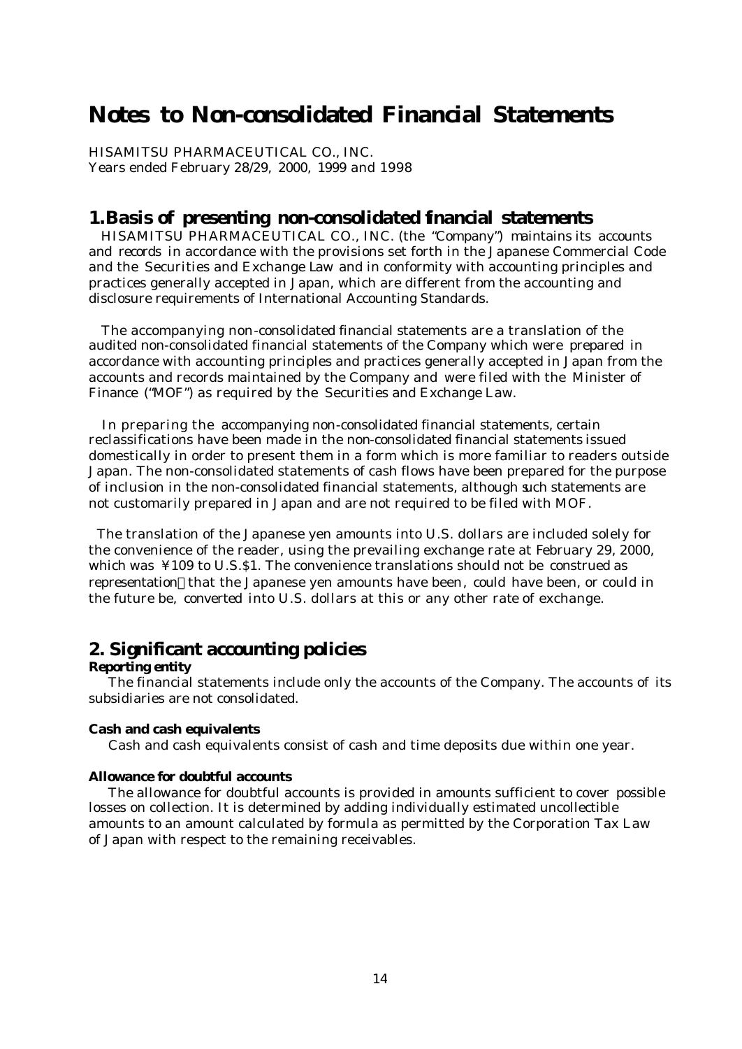# **Notes to Non-consolidated Financial Statements**

HISAMITSU PHARMACEUTICAL CO., INC. Years ended February 28/29, 2000, 1999 and 1998

## **1.Basis of presenting non-consolidated financial statements**

 HISAMITSU PHARMACEUTICAL CO., INC. (the "Company") maintains its accounts and records in accordance with the provisions set forth in the Japanese Commercial Code and the Securities and Exchange Law and in conformity with accounting principles and practices generally accepted in Japan, which are different from the accounting and disclosure requirements of International Accounting Standards.

 The accompanying non-consolidated financial statements are a translation of the audited non-consolidated financial statements of the Company which were prepared in accordance with accounting principles and practices generally accepted in Japan from the accounts and records maintained by the Company and were filed with the Minister of Finance ("MOF") as required by the Securities and Exchange Law.

 In preparing the accompanying non-consolidated financial statements, certain reclassifications have been made in the non-consolidated financial statements issued domestically in order to present them in a form which is more familiar to readers outside Japan. The non-consolidated statements of cash flows have been prepared for the purpose of inclusion in the non-consolidated financial statements, although such statements are not customarily prepared in Japan and are not required to be filed with MOF.

 The translation of the Japanese yen amounts into U.S. dollars are included solely for the convenience of the reader, using the prevailing exchange rate at February 29, 2000, which was  $\frac{1}{2}109$  to U.S.\$1. The convenience translations should not be construed as representation that the Japanese yen amounts have been, could have been, or could in the future be, converted into U.S. dollars at this or any other rate of exchange.

## **2. Significant accounting policies**

#### **Reporting entity**

 The financial statements include only the accounts of the Company. The accounts of its subsidiaries are not consolidated.

#### **Cash and cash equivalents**

Cash and cash equivalents consist of cash and time deposits due within one year.

### **Allowance for doubtful accounts**

 The allowance for doubtful accounts is provided in amounts sufficient to cover possible losses on collection. It is determined by adding individually estimated uncollectible amounts to an amount calculated by formula as permitted by the Corporation Tax Law of Japan with respect to the remaining receivables.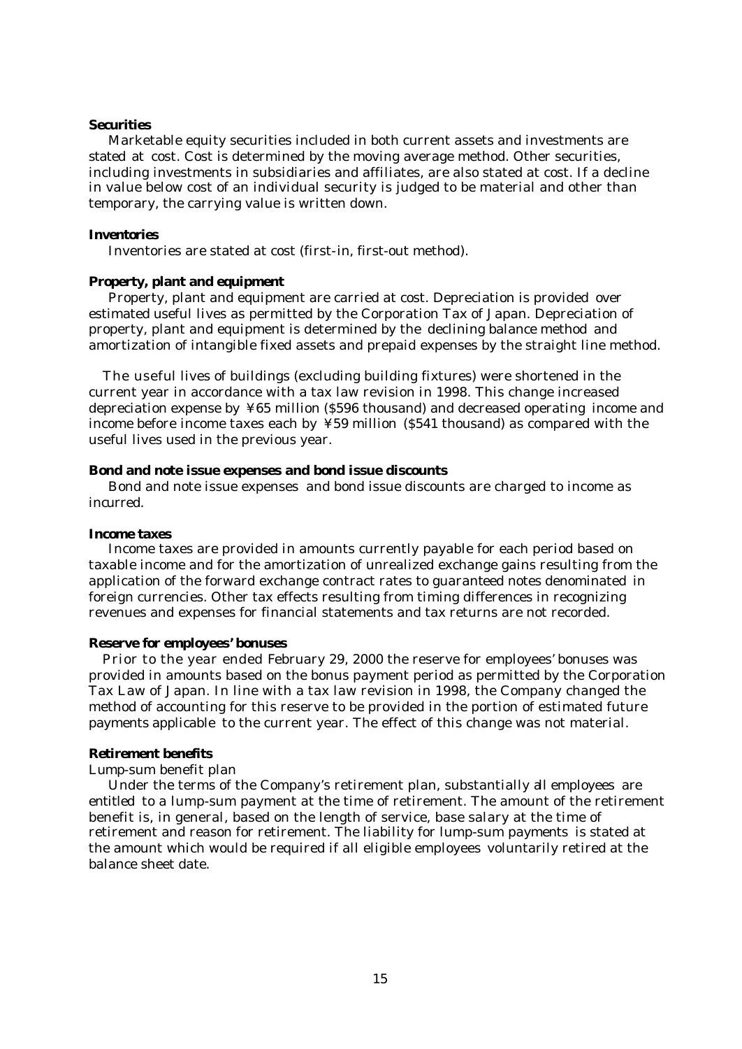#### **Securities**

 Marketable equity securities included in both current assets and investments are stated at cost. Cost is determined by the moving average method. Other securities, including investments in subsidiaries and affiliates, are also stated at cost. If a decline in value below cost of an individual security is judged to be material and other than temporary, the carrying value is written down.

#### **Inventories**

Inventories are stated at cost (first-in, first-out method).

### **Property, plant and equipment**

 Property, plant and equipment are carried at cost. Depreciation is provided over estimated useful lives as permitted by the Corporation Tax of Japan. Depreciation of property, plant and equipment is determined by the declining balance method and amortization of intangible fixed assets and prepaid expenses by the straight line method.

 The useful lives of buildings (excluding building fixtures) were shortened in the current year in accordance with a tax law revision in 1998. This change increased depreciation expense by ¥65 million (\$596 thousand) and decreased operating income and income before income taxes each by ¥59 million (\$541 thousand) as compared with the useful lives used in the previous year.

### **Bond and note issue expenses and bond issue discounts**

 Bond and note issue expenses and bond issue discounts are charged to income as incurred.

#### **Income taxes**

 Income taxes are provided in amounts currently payable for each period based on taxable income and for the amortization of unrealized exchange gains resulting from the application of the forward exchange contract rates to guaranteed notes denominated in foreign currencies. Other tax effects resulting from timing differences in recognizing revenues and expenses for financial statements and tax returns are not recorded.

#### **Reserve for employees' bonuses**

 Prior to the year ended February 29, 2000 the reserve for employees' bonuses was provided in amounts based on the bonus payment period as permitted by the Corporation Tax Law of Japan. In line with a tax law revision in 1998, the Company changed the method of accounting for this reserve to be provided in the portion of estimated future payments applicable to the current year. The effect of this change was not material.

#### **Retirement benefits**

### Lump-sum benefit plan

 Under the terms of the Company's retirement plan, substantially all employees are entitled to a lump-sum payment at the time of retirement. The amount of the retirement benefit is, in general, based on the length of service, base salary at the time of retirement and reason for retirement. The liability for lump-sum payments is stated at the amount which would be required if all eligible employees voluntarily retired at the balance sheet date.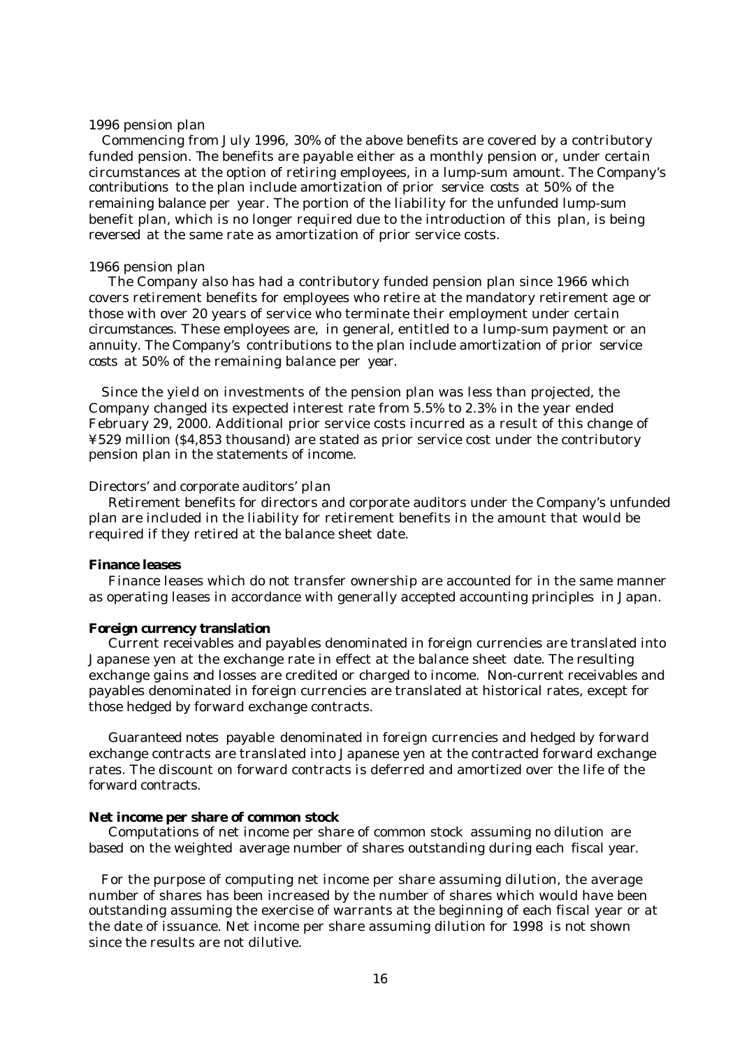#### 1996 pension plan

 Commencing from July 1996, 30% of the above benefits are covered by a contributory funded pension. The benefits are payable either as a monthly pension or, under certain circumstances at the option of retiring employees, in a lump-sum amount. The Company's contributions to the plan include amortization of prior service costs at 50% of the remaining balance per year. The portion of the liability for the unfunded lump-sum benefit plan, which is no longer required due to the introduction of this plan, is being reversed at the same rate as amortization of prior service costs.

#### 1966 pension plan

 The Company also has had a contributory funded pension plan since 1966 which covers retirement benefits for employees who retire at the mandatory retirement age or those with over 20 years of service who terminate their employment under certain circumstances. These employees are, in general, entitled to a lump-sum payment or an annuity. The Company's contributions to the plan include amortization of prior service costs at 50% of the remaining balance per year.

 Since the yield on investments of the pension plan was less than projected, the Company changed its expected interest rate from 5.5% to 2.3% in the year ended February 29, 2000. Additional prior service costs incurred as a result of this change of ¥529 million (\$4,853 thousand) are stated as prior service cost under the contributory pension plan in the statements of income.

## Directors' and corporate auditors' plan

 Retirement benefits for directors and corporate auditors under the Company's unfunded plan are included in the liability for retirement benefits in the amount that would be required if they retired at the balance sheet date.

#### **Finance leases**

 Finance leases which do not transfer ownership are accounted for in the same manner as operating leases in accordance with generally accepted accounting principles in Japan.

#### **Foreign currency translation**

 Current receivables and payables denominated in foreign currencies are translated into Japanese yen at the exchange rate in effect at the balance sheet date. The resulting exchange gains and losses are credited or charged to income. Non-current receivables and payables denominated in foreign currencies are translated at historical rates, except for those hedged by forward exchange contracts.

 Guaranteed notes payable denominated in foreign currencies and hedged by forward exchange contracts are translated into Japanese yen at the contracted forward exchange rates. The discount on forward contracts is deferred and amortized over the life of the forward contracts.

#### **Net income per share of common stock**

 Computations of net income per share of common stock assuming no dilution are based on the weighted average number of shares outstanding during each fiscal year.

 For the purpose of computing net income per share assuming dilution, the average number of shares has been increased by the number of shares which would have been outstanding assuming the exercise of warrants at the beginning of each fiscal year or at the date of issuance. Net income per share assuming dilution for 1998 is not shown since the results are not dilutive.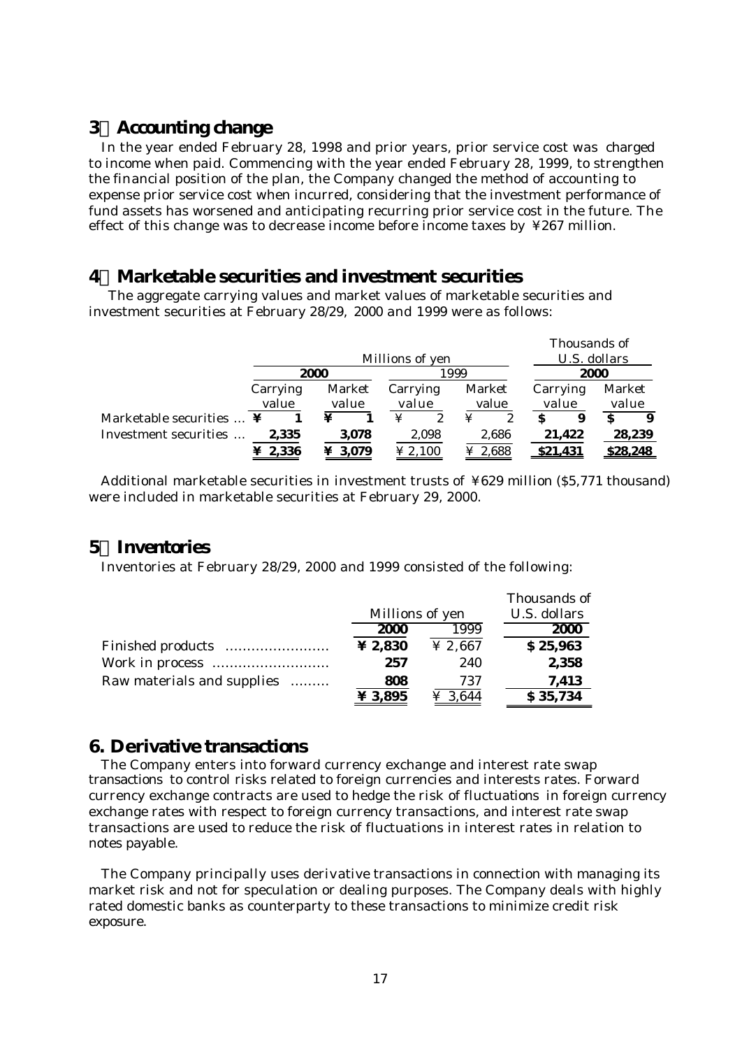# **3 Accounting change**

 In the year ended February 28, 1998 and prior years, prior service cost was charged to income when paid. Commencing with the year ended February 28, 1999, to strengthen the financial position of the plan, the Company changed the method of accounting to expense prior service cost when incurred, considering that the investment performance of fund assets has worsened and anticipating recurring prior service cost in the future. The effect of this change was to decrease income before income taxes by ¥267 million.

# **4 Marketable securities and investment securities**

 The aggregate carrying values and market values of marketable securities and investment securities at February 28/29, 2000 and 1999 were as follows:

|                          | Millions of yen |                    |       |       |                    | Thousands of<br>U.S. dollars |          |       |                 |        |                 |        |
|--------------------------|-----------------|--------------------|-------|-------|--------------------|------------------------------|----------|-------|-----------------|--------|-----------------|--------|
|                          | 2000            |                    |       | 999   |                    |                              |          |       | 2000            |        |                 |        |
|                          |                 | Market<br>Carrying |       |       | Market<br>Carrying |                              | Carrying |       | Market          |        |                 |        |
|                          |                 | value              | value |       | value              |                              | value    |       | value           |        | value           |        |
| Marketable securities  ¥ |                 |                    | ¥     |       | ¥                  |                              | ¥        |       |                 | 9      |                 |        |
| Investment securities    |                 | 2,335              |       | 3.078 |                    | 2,098                        |          | 2.686 |                 | 21,422 |                 | 28,239 |
|                          |                 | 2,336              |       | 3,079 | $\ge 2,100$        |                              | ¥ 2,688  |       | <u>\$21,431</u> |        | <u>\$28,248</u> |        |

 Additional marketable securities in investment trusts of ¥629 million (\$5,771 thousand) were included in marketable securities at February 29, 2000.

# **5 Inventories**

Inventories at February 28/29, 2000 and 1999 consisted of the following:

|                            |                           |         | Thousands of |
|----------------------------|---------------------------|---------|--------------|
|                            | Millions of yen           |         | U.S. dollars |
|                            | 2000                      | 1999    | 2000         |
|                            | ¥ 2,830                   | ¥ 2,667 | \$25,963     |
|                            | 257                       | 240     | 2,358        |
| Raw materials and supplies | 808                       | 737     | 7,413        |
|                            | $\boldsymbol{\Psi}$ 3,895 | ¥ 3.644 | \$35,734     |

## **6. Derivative transactions**

 The Company enters into forward currency exchange and interest rate swap transactions to control risks related to foreign currencies and interests rates. Forward currency exchange contracts are used to hedge the risk of fluctuations in foreign currency exchange rates with respect to foreign currency transactions, and interest rate swap transactions are used to reduce the risk of fluctuations in interest rates in relation to notes payable.

 The Company principally uses derivative transactions in connection with managing its market risk and not for speculation or dealing purposes. The Company deals with highly rated domestic banks as counterparty to these transactions to minimize credit risk exposure.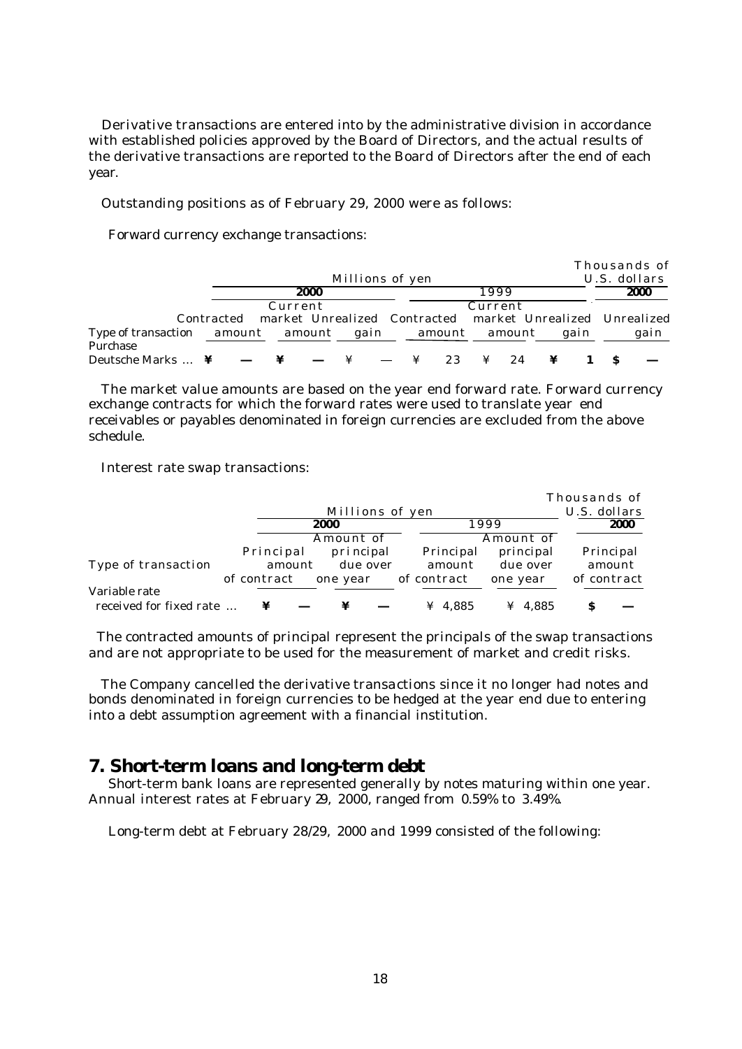Derivative transactions are entered into by the administrative division in accordance with established policies approved by the Board of Directors, and the actual results of the derivative transactions are reported to the Board of Directors after the end of each year.

Outstanding positions as of February 29, 2000 were as follows:

Forward currency exchange transactions:

|                                               |                                                                      |                 |        |    |         |    |      | Thousands of |      |
|-----------------------------------------------|----------------------------------------------------------------------|-----------------|--------|----|---------|----|------|--------------|------|
|                                               |                                                                      | Millions of yen |        |    |         |    |      | U.S. dollars |      |
|                                               | 2000                                                                 |                 |        |    | 1999    |    |      |              | 2000 |
|                                               | Current                                                              |                 |        |    | Current |    |      |              |      |
|                                               | Contracted market Unrealized Contracted market Unrealized Unrealized |                 |        |    |         |    |      |              |      |
| Type of transaction amount amount<br>Purchase |                                                                      | gain            | amount |    | amount  |    | gain |              | gain |
| Deutsche Marks $\dots$ ¥                      |                                                                      |                 | ¥      | 23 | ¥       | 24 |      |              |      |

 The market value amounts are based on the year end forward rate. Forward currency exchange contracts for which the forward rates were used to translate year end receivables or payables denominated in foreign currencies are excluded from the above schedule.

Interest rate swap transactions:

|                         |             |           |                 |             |           | Thousands of |
|-------------------------|-------------|-----------|-----------------|-------------|-----------|--------------|
|                         |             |           | Millions of yen |             |           | U.S. dollars |
|                         |             |           | 2000            |             | 1999      | 2000         |
|                         |             |           | Amount of       |             | Amount of |              |
|                         |             | Principal | principal       | Principal   | principal | Principal    |
| Type of transaction     |             | amount    | due over        | amount      | due over  | amount       |
|                         | of contract |           | one year        | of contract | one year  | of contract  |
| Variable rate           |             |           |                 |             |           |              |
| received for fixed rate |             |           | ¥               | ¥ 4.885     | ¥ 4.885   | S            |

 The contracted amounts of principal represent the principals of the swap transactions and are not appropriate to be used for the measurement of market and credit risks.

 The Company cancelled the derivative transactions since it no longer had notes and bonds denominated in foreign currencies to be hedged at the year end due to entering into a debt assumption agreement with a financial institution.

## **7. Short-term loans and long-term debt**

 Short-term bank loans are represented generally by notes maturing within one year. Annual interest rates at February 29, 2000, ranged from 0.59% to 3.49%.

Long-term debt at February 28/29, 2000 and 1999 consisted of the following: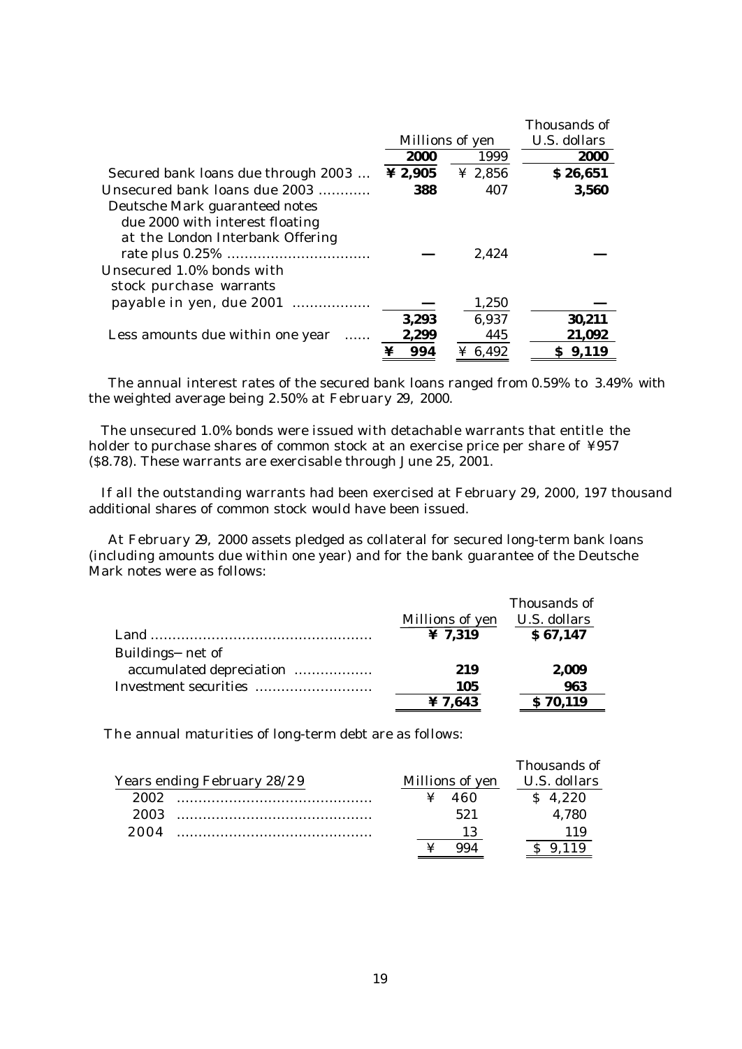|                                                                     |                 |         | Thousands of |
|---------------------------------------------------------------------|-----------------|---------|--------------|
|                                                                     | Millions of yen |         | U.S. dollars |
|                                                                     | 2000            | 1999    | 2000         |
| Secured bank loans due through 2003                                 | ¥ 2,905         | ¥ 2,856 | \$26,651     |
| Unsecured bank loans due 2003                                       | 388             | 407     | 3,560        |
| Deutsche Mark guaranteed notes                                      |                 |         |              |
| due 2000 with interest floating                                     |                 |         |              |
| at the London Interbank Offering                                    |                 |         |              |
|                                                                     |                 | 2.424   |              |
| Unsecured 1.0% bonds with                                           |                 |         |              |
| stock purchase warrants                                             |                 |         |              |
| payable in yen, due 2001                                            |                 | 1,250   |              |
|                                                                     | 3,293           | 6,937   | 30,211       |
| Less amounts due within one year<br>$\cdot \cdot \cdot \cdot \cdot$ | 2,299           | 445     | 21,092       |
|                                                                     | 994             | ¥ 6,492 | \$9,119      |

 The annual interest rates of the secured bank loans ranged from 0.59% to 3.49% with the weighted average being 2.50% at February 29, 2000.

 The unsecured 1.0% bonds were issued with detachable warrants that entitle the holder to purchase shares of common stock at an exercise price per share of ¥957 (\$8.78). These warrants are exercisable through June 25, 2001.

 If all the outstanding warrants had been exercised at February 29, 2000, 197 thousand additional shares of common stock would have been issued.

 At February 29, 2000 assets pledged as collateral for secured long-term bank loans (including amounts due within one year) and for the bank guarantee of the Deutsche Mark notes were as follows:

|                          |                     | Thousands of |
|--------------------------|---------------------|--------------|
|                          | Millions of yen     | U.S. dollars |
|                          | $\frac{1}{2}$ 7.319 | \$67,147     |
| Buildings net of         |                     |              |
| accumulated depreciation | 219                 | 2,009        |
| Investment securities    | 105                 | 963          |
|                          | ¥ 7,643             | \$70,119     |

The annual maturities of long-term debt are as follows:

|      |                             |                 | Thousands of |
|------|-----------------------------|-----------------|--------------|
|      | Years ending February 28/29 | Millions of yen | U.S. dollars |
| 2002 |                             | 460             | \$4,220      |
| 2003 |                             | 521             | 4,780        |
| 2004 |                             |                 | 1 1 Q        |
|      |                             |                 |              |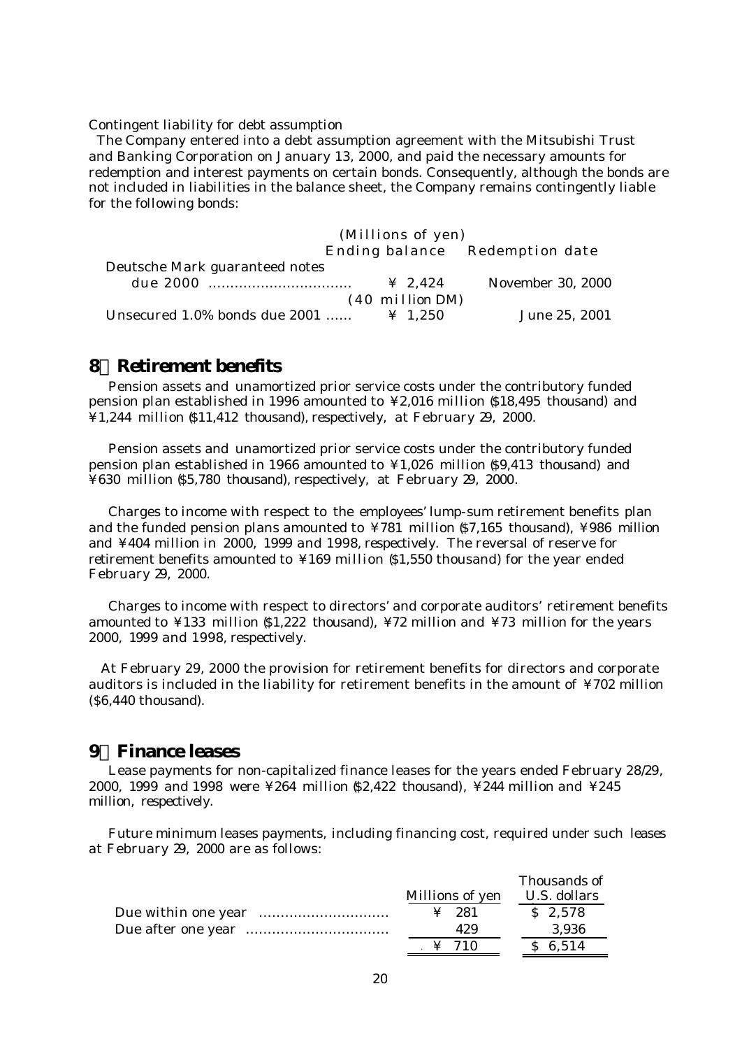Contingent liability for debt assumption

 The Company entered into a debt assumption agreement with the Mitsubishi Trust and Banking Corporation on January 13, 2000, and paid the necessary amounts for redemption and interest payments on certain bonds. Consequently, although the bonds are not included in liabilities in the balance sheet, the Company remains contingently liable for the following bonds:

| (Millions of yen)                                                     |
|-----------------------------------------------------------------------|
| Ending balance Redemption date                                        |
| Deutsche Mark guaranteed notes                                        |
| November 30, 2000<br>$\frac{1}{2}$ 2.424                              |
| $(40 \text{ million DM})$                                             |
| Unsecured 1.0% bonds due 2001<br>June 25, 2001<br>$\frac{1}{2}$ 1.250 |

# **8 Retirement benefits**

 Pension assets and unamortized prior service costs under the contributory funded pension plan established in 1996 amounted to ¥2,016 million (\$18,495 thousand) and ¥1,244 million (\$11,412 thousand), respectively, at February 29, 2000.

 Pension assets and unamortized prior service costs under the contributory funded pension plan established in 1966 amounted to ¥1,026 million (\$9,413 thousand) and ¥630 million (\$5,780 thousand), respectively, at February 29, 2000.

 Charges to income with respect to the employees' lump-sum retirement benefits plan and the funded pension plans amounted to  $\frac{1}{4}781$  million (\$7,165 thousand),  $\frac{1}{4}986$  million and ¥404 million in 2000, 1999 and 1998, respectively. The reversal of reserve for retirement benefits amounted to ¥169 million (\$1,550 thousand) for the year ended February 29, 2000.

 Charges to income with respect to directors' and corporate auditors' retirement benefits amounted to ¥133 million  $$1,222$  thousand), ¥72 million and ¥73 million for the years 2000, 1999 and 1998, respectively.

 At February 29, 2000 the provision for retirement benefits for directors and corporate auditors is included in the liability for retirement benefits in the amount of ¥702 million (\$6,440 thousand).

## **9 Finance leases**

 Lease payments for non-capitalized finance leases for the years ended February 28/29, 2000, 1999 and 1998 were ¥264 million (\$2,422 thousand), ¥244 million and ¥245 million, respectively.

 Future minimum leases payments, including financing cost, required under such leases at February 29, 2000 are as follows:

|                                           | Thousands of |
|-------------------------------------------|--------------|
| Millions of yen                           | U.S. dollars |
| $\angle 281$                              | \$2,578      |
| 429                                       | 3,936        |
| $\frac{1}{2}$ $\frac{1}{2}$ $\frac{1}{2}$ | \$6,514      |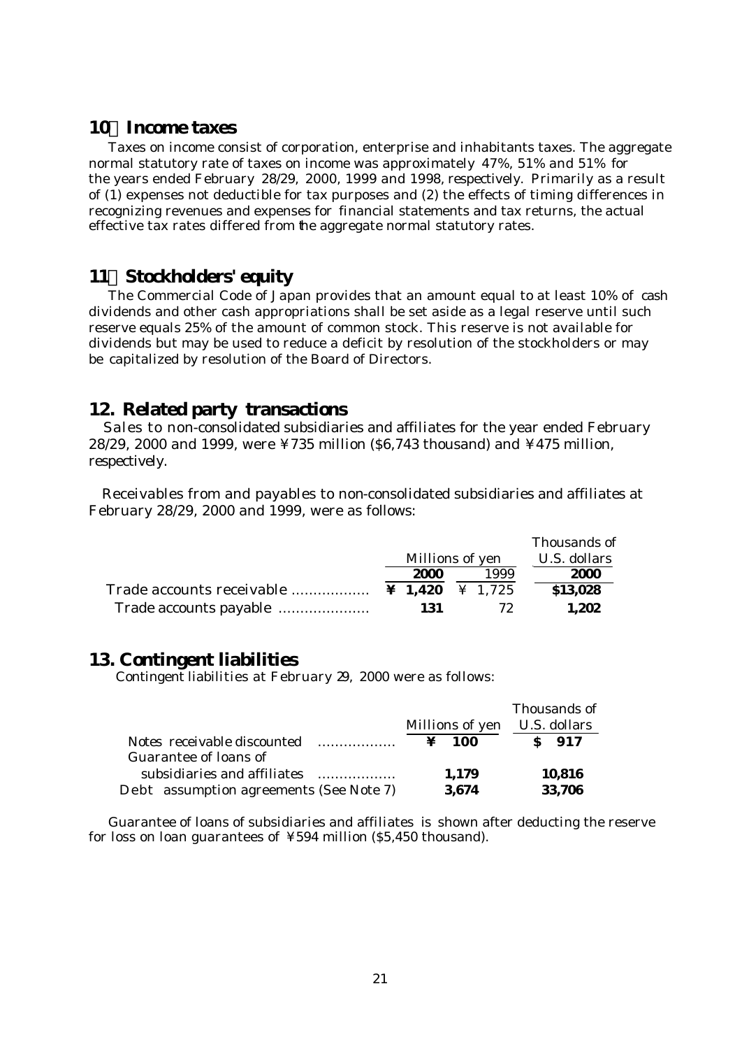# **10 Income taxes**

 Taxes on income consist of corporation, enterprise and inhabitants taxes. The aggregate normal statutory rate of taxes on income was approximately 47%, 51% and 51% for the years ended February 28/29, 2000, 1999 and 1998, respectively. Primarily as a result of (1) expenses not deductible for tax purposes and (2) the effects of timing differences in recognizing revenues and expenses for financial statements and tax returns, the actual effective tax rates differed from the aggregate normal statutory rates.

# **11 Stockholders' equity**

 The Commercial Code of Japan provides that an amount equal to at least 10% of cash dividends and other cash appropriations shall be set aside as a legal reserve until such reserve equals 25% of the amount of common stock. This reserve is not available for dividends but may be used to reduce a deficit by resolution of the stockholders or may be capitalized by resolution of the Board of Directors.

# **12. Related party transactions**

 Sales to non-consolidated subsidiaries and affiliates for the year ended February 28/29, 2000 and 1999, were ¥735 million (\$6,743 thousand) and ¥475 million, respectively.

 Receivables from and payables to non-consolidated subsidiaries and affiliates at February 28/29, 2000 and 1999, were as follows:

|      |                 | Thousands of |
|------|-----------------|--------------|
|      | Millions of yen | U.S. dollars |
| 2000 | 1999            | 2000         |
|      |                 | \$13,028     |
| 131  | 72              | 1.202        |

## **13. Contingent liabilities**

Contingent liabilities at February 29, 2000 were as follows:

|                                         |                              | Thousands of |
|-----------------------------------------|------------------------------|--------------|
|                                         | Millions of yen U.S. dollars |              |
| Notes receivable discounted             | $\mathbf{\Psi}$ 100          | $S$ 917      |
| Guarantee of loans of                   |                              |              |
| subsidiaries and affiliates             | 1.179                        | 10,816       |
| Debt assumption agreements (See Note 7) | 3,674                        | 33,706       |

 Guarantee of loans of subsidiaries and affiliates is shown after deducting the reserve for loss on loan guarantees of ¥594 million (\$5,450 thousand).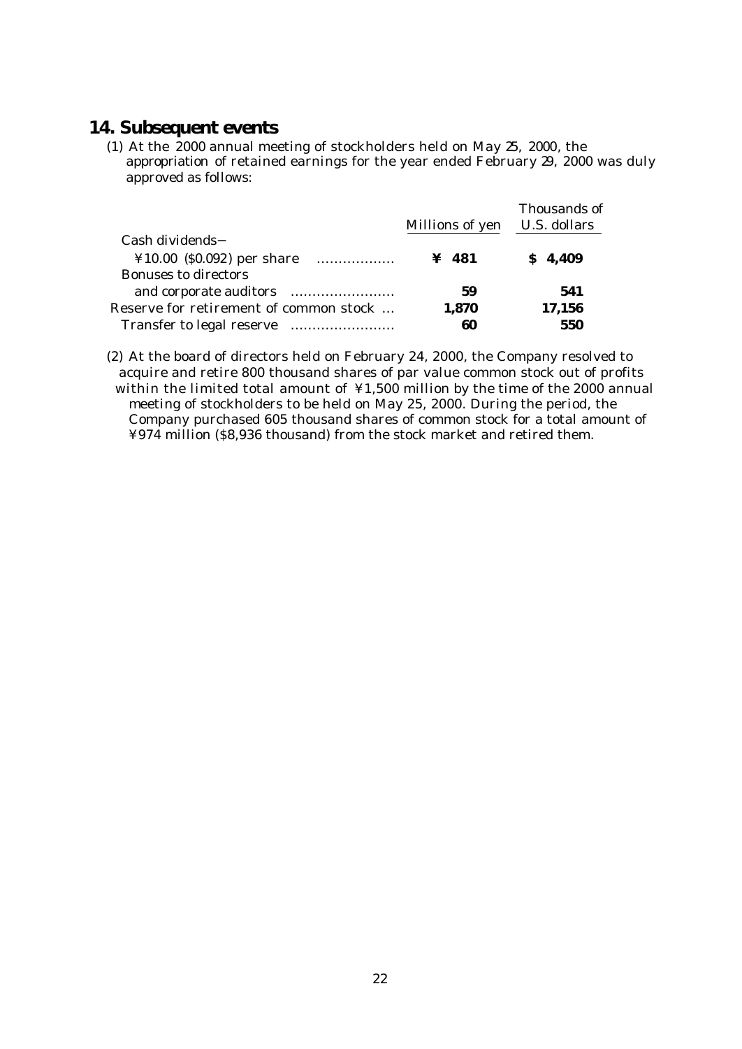# **14. Subsequent events**

(1) At the 2000 annual meeting of stockholders held on May 25, 2000, the appropriation of retained earnings for the year ended February 29, 2000 was duly approved as follows:

|                                        | Millions of yen | Thousands of<br>U.S. dollars |
|----------------------------------------|-----------------|------------------------------|
| Cash dividends                         |                 |                              |
| $¥10.00$ (\$0.092) per share<br>.      | $\angle 481$    | \$4,409                      |
| <b>Bonuses to directors</b>            |                 |                              |
|                                        | 59              | 541                          |
| Reserve for retirement of common stock | 1,870           | 17,156                       |
| Transfer to legal reserve              | 60              | 550                          |

(2) At the board of directors held on February 24, 2000, the Company resolved to acquire and retire 800 thousand shares of par value common stock out of profits within the limited total amount of ¥1,500 million by the time of the 2000 annual meeting of stockholders to be held on May 25, 2000. During the period, the Company purchased 605 thousand shares of common stock for a total amount of ¥974 million (\$8,936 thousand) from the stock market and retired them.